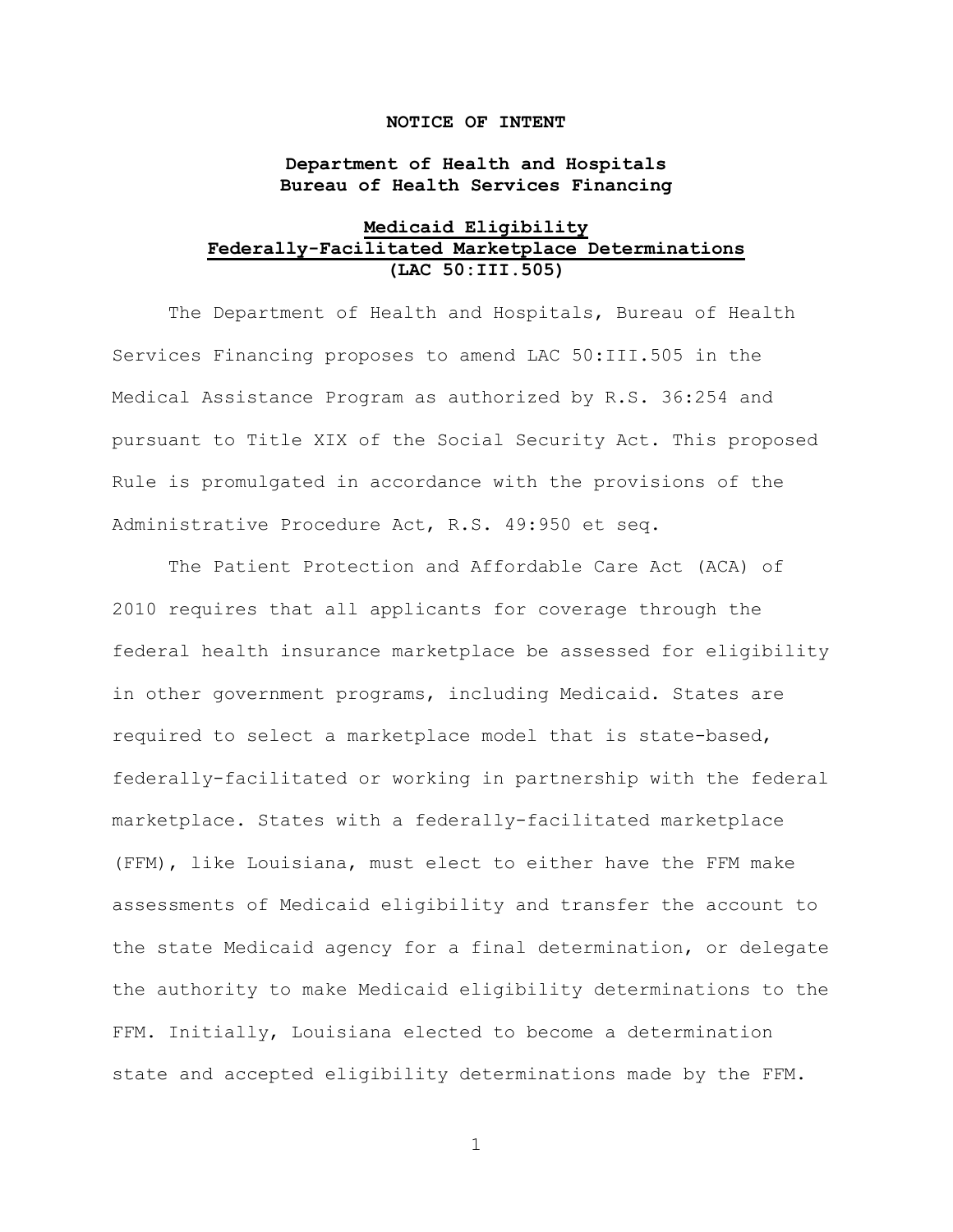### **NOTICE OF INTENT**

## **Department of Health and Hospitals Bureau of Health Services Financing**

## **Medicaid Eligibility Federally-Facilitated Marketplace Determinations (LAC 50:III.505)**

The Department of Health and Hospitals, Bureau of Health Services Financing proposes to amend LAC 50:III.505 in the Medical Assistance Program as authorized by R.S. 36:254 and pursuant to Title XIX of the Social Security Act. This proposed Rule is promulgated in accordance with the provisions of the Administrative Procedure Act, R.S. 49:950 et seq.

The Patient Protection and Affordable Care Act (ACA) of 2010 requires that all applicants for coverage through the federal health insurance marketplace be assessed for eligibility in other government programs, including Medicaid. States are required to select a marketplace model that is state-based, federally-facilitated or working in partnership with the federal marketplace. States with a federally-facilitated marketplace (FFM), like Louisiana, must elect to either have the FFM make assessments of Medicaid eligibility and transfer the account to the state Medicaid agency for a final determination, or delegate the authority to make Medicaid eligibility determinations to the FFM. Initially, Louisiana elected to become a determination state and accepted eligibility determinations made by the FFM.

1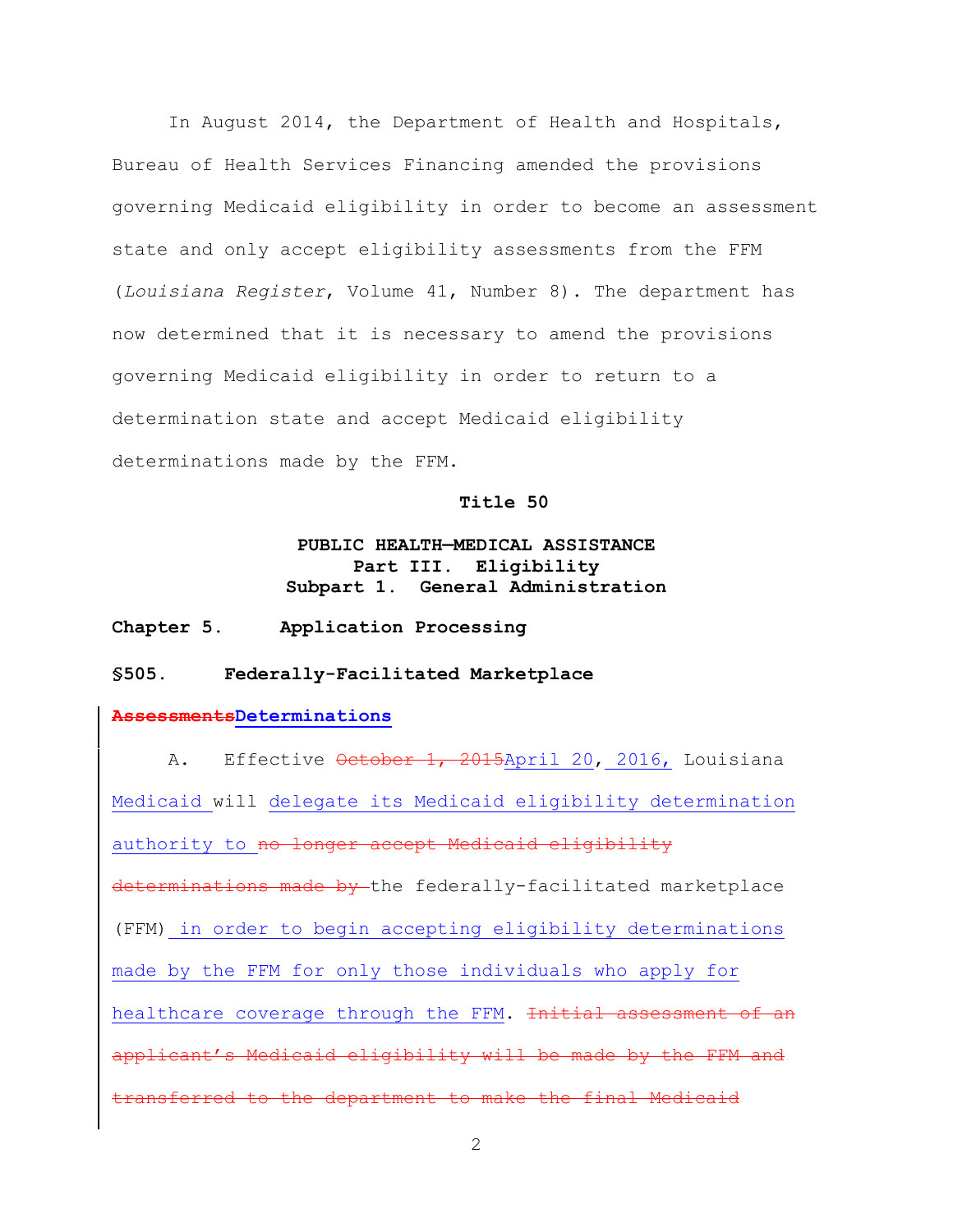In August 2014, the Department of Health and Hospitals, Bureau of Health Services Financing amended the provisions governing Medicaid eligibility in order to become an assessment state and only accept eligibility assessments from the FFM (*Louisiana Register*, Volume 41, Number 8). The department has now determined that it is necessary to amend the provisions governing Medicaid eligibility in order to return to a determination state and accept Medicaid eligibility determinations made by the FFM.

#### **Title 50**

# **PUBLIC HEALTH—MEDICAL ASSISTANCE Part III. Eligibility Subpart 1. General Administration**

### **Chapter 5. Application Processing**

### **§505. Federally-Facilitated Marketplace**

### **AssessmentsDeterminations**

A. Effective October 1, 2015April 20, 2016, Louisiana Medicaid will delegate its Medicaid eligibility determination authority to no longer accept Medicaid eligibility determinations made by the federally-facilitated marketplace (FFM) in order to begin accepting eligibility determinations made by the FFM for only those individuals who apply for healthcare coverage through the FFM. Initial assessment of an applicant's Medicaid eligibility will be made by the FFM and transferred to the department to make the final Medicaid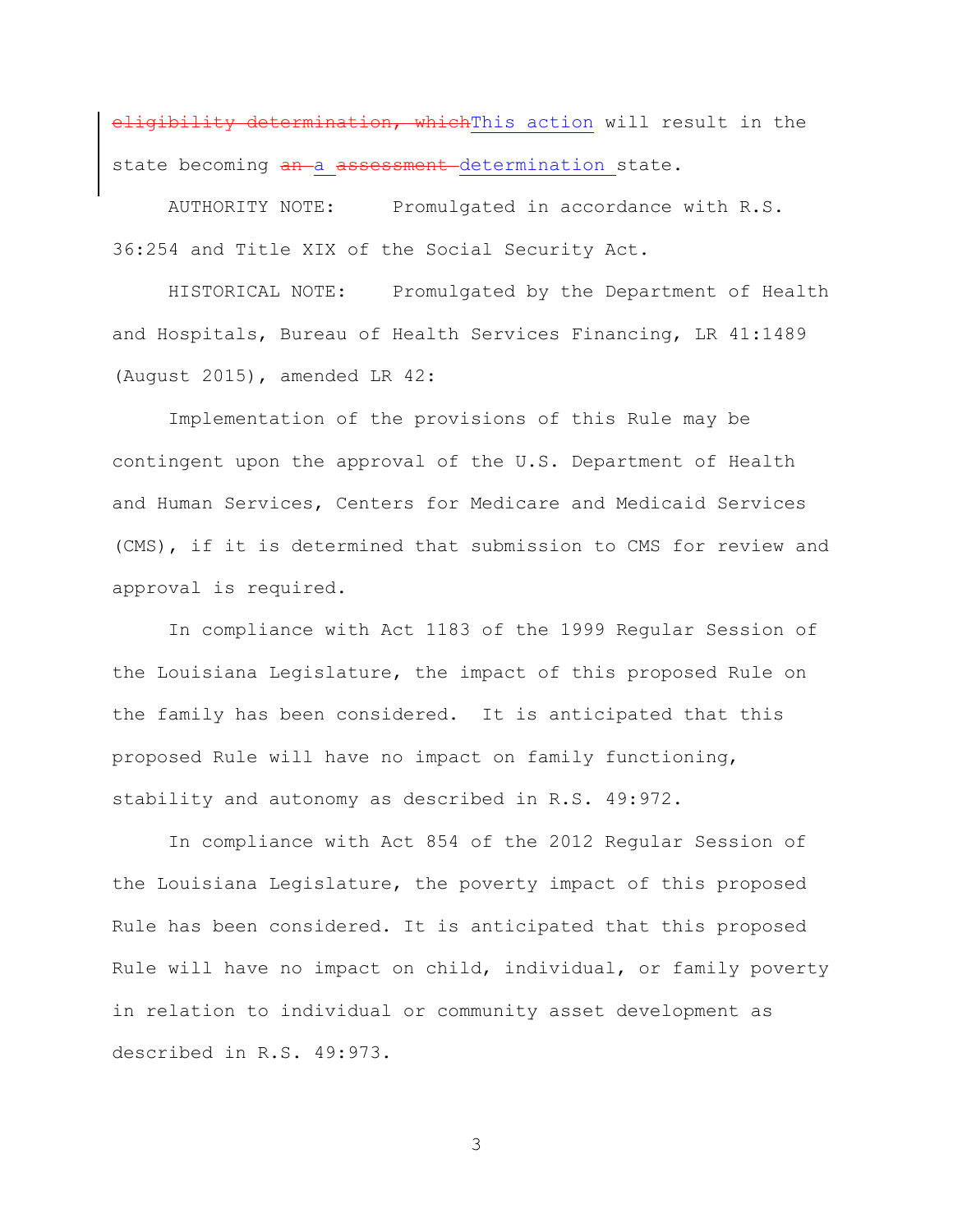eligibility determination, which This action will result in the state becoming an a assessment determination state.

AUTHORITY NOTE: Promulgated in accordance with R.S. 36:254 and Title XIX of the Social Security Act.

HISTORICAL NOTE: Promulgated by the Department of Health and Hospitals, Bureau of Health Services Financing, LR 41:1489 (August 2015), amended LR 42:

Implementation of the provisions of this Rule may be contingent upon the approval of the U.S. Department of Health and Human Services, Centers for Medicare and Medicaid Services (CMS), if it is determined that submission to CMS for review and approval is required.

In compliance with Act 1183 of the 1999 Regular Session of the Louisiana Legislature, the impact of this proposed Rule on the family has been considered. It is anticipated that this proposed Rule will have no impact on family functioning, stability and autonomy as described in R.S. 49:972.

In compliance with Act 854 of the 2012 Regular Session of the Louisiana Legislature, the poverty impact of this proposed Rule has been considered. It is anticipated that this proposed Rule will have no impact on child, individual, or family poverty in relation to individual or community asset development as described in R.S. 49:973.

3